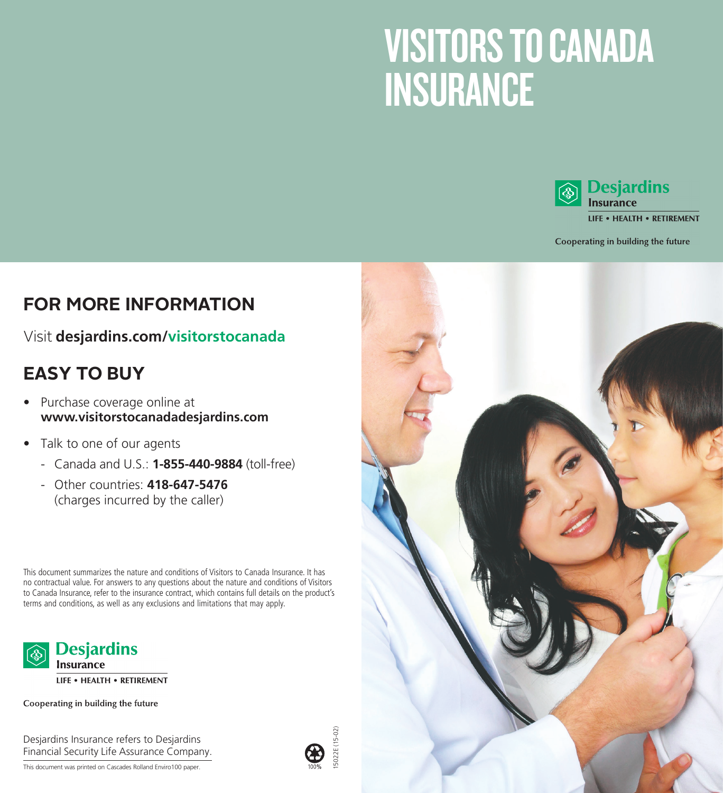# VISITORS TO CANADA **INSURANCE**



<sup>1</sup> Desjardins

**LIFE . HEALTH . RETIREMENT** 

Cooperating in building the future

### **FOR MORE INFORMATION**

#### Visit **desjardins.com/visitorstocanada**

## **EASY TO BUY**

- Purchase coverage online at **www.visitorstocanadadesjardins.com**
- Talk to one of our agents
	- Canada and U.S.: **1-855-440-9884** (toll-free)
	- Other countries: **418-647-5476** (charges incurred by the caller)

This document summarizes the nature and conditions of Visitors to Canada Insurance. It has no contractual value. For answers to any questions about the nature and conditions of Visitors to Canada Insurance, refer to the insurance contract, which contains full details on the product's terms and conditions, as well as any exclusions and limitations that may apply.



LIFE . HEALTH . RETIREMENT

Cooperating in building the future

Desjardins Insurance refers to Desjardins Financial Security Life Assurance Company.